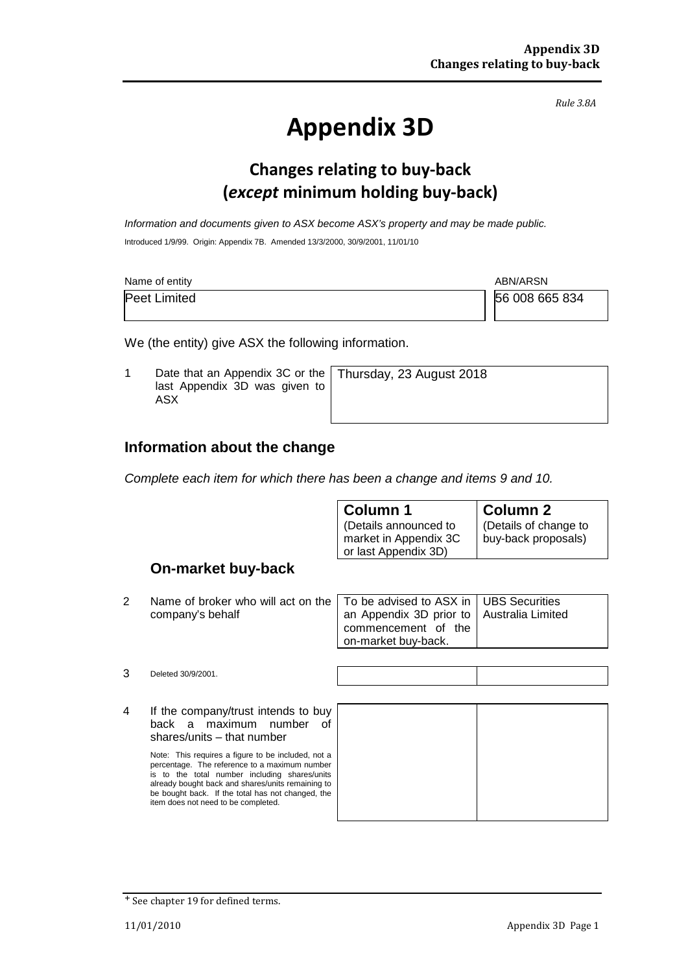*Rule 3.8A*

# **Appendix 3D**

## **Changes relating to buy-back (***except* **minimum holding buy-back)**

*Information and documents given to ASX become ASX's property and may be made public.* Introduced 1/9/99. Origin: Appendix 7B. Amended 13/3/2000, 30/9/2001, 11/01/10

| Name of entity      | ABN/ARSN       |
|---------------------|----------------|
| <b>Peet Limited</b> | 56 008 665 834 |

We (the entity) give ASX the following information.

1 Date that an Appendix 3C or the last Appendix 3D was given to ASX Thursday, 23 August 2018

#### **Information about the change**

*Complete each item for which there has been a change and items 9 and 10.*

|   |                                                        | <b>Column 1</b><br>(Details announced to<br>market in Appendix 3C<br>or last Appendix 3D)        | Column 2<br>(Details of change to<br>buy-back proposals) |  |
|---|--------------------------------------------------------|--------------------------------------------------------------------------------------------------|----------------------------------------------------------|--|
|   | <b>On-market buy-back</b>                              |                                                                                                  |                                                          |  |
| 2 | Name of broker who will act on the<br>company's behalf | To be advised to ASX in<br>an Appendix 3D prior to<br>commencement of the<br>on-market buy-back. | <b>UBS</b> Securities<br>Australia Limited               |  |

3 Deleted 30/9/2001.

4 If the company/trust intends to buy back a maximum number of shares/units – that number

> Note: This requires a figure to be included, not a percentage. The reference to a maximum number is to the total number including shares/units already bought back and shares/units remaining to be bought back. If the total has not changed, the item does not need to be completed.

<sup>+</sup> See chapter 19 for defined terms.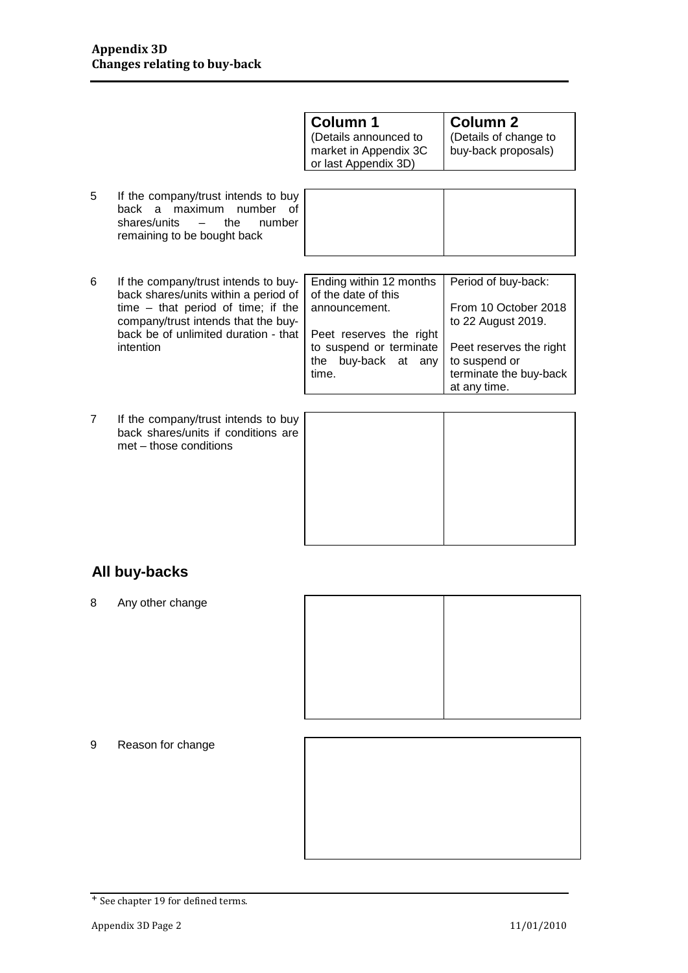| Column 1                                                               | <b>Column 2</b>                              |
|------------------------------------------------------------------------|----------------------------------------------|
| (Details announced to<br>market in Appendix 3C<br>or last Appendix 3D) | (Details of change to<br>buy-back proposals) |

Τ

5 If the company/trust intends to buy back a maximum number of<br>shares/units – the number shares/units  $-$  the remaining to be bought back

| ີ | if the company/trast intends to buy<br>back a maximum<br>number<br>Ωt<br>shares/units<br>$\overline{\phantom{m}}$<br>the<br>number<br>remaining to be bought back |                                                |                                            |
|---|-------------------------------------------------------------------------------------------------------------------------------------------------------------------|------------------------------------------------|--------------------------------------------|
|   |                                                                                                                                                                   |                                                |                                            |
| 6 | If the company/trust intends to buy-<br>back shares/units within a period of                                                                                      | Ending within 12 months<br>of the date of this | Period of buy-back:                        |
|   | $time - that period of time; if the$<br>company/trust intends that the buy-                                                                                       | announcement.                                  | From 10 October 2018<br>to 22 August 2019. |

- back shares/units within a period of time – that period of time; if the company/trust intends that the buyback be of unlimited duration - that intention Peet reserves the right to suspend or terminate Peet reserves the right
- 7 If the company/trust intends to buy back shares/units if conditions are met – those conditions

| time. | the buy-back at any |  | to suspend or<br>terminate the buy-back<br>at any time. |  |
|-------|---------------------|--|---------------------------------------------------------|--|
|       |                     |  |                                                         |  |
|       |                     |  |                                                         |  |

### **All buy-backs**

8 Any other change



9 Reason for change

<sup>+</sup> See chapter 19 for defined terms.